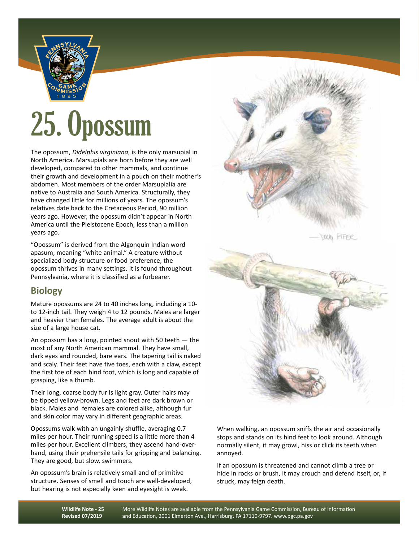

## 25. Opossum

The opossum, *Didelphis virginiana*, is the only marsupial in North America. Marsupials are born before they are well developed, compared to other mammals, and continue their growth and development in a pouch on their mother's abdomen. Most members of the order Marsupialia are native to Australia and South America. Structurally, they have changed little for millions of years. The opossum's relatives date back to the Cretaceous Period, 90 million years ago. However, the opossum didn't appear in North America until the Pleistocene Epoch, less than a million years ago.

"Opossum" is derived from the Algonquin Indian word apasum, meaning "white animal." A creature without specialized body structure or food preference, the opossum thrives in many settings. It is found throughout Pennsylvania, where it is classified as a furbearer.

## **Biology**

Mature opossums are 24 to 40 inches long, including a 10 to 12-inch tail. They weigh 4 to 12 pounds. Males are larger and heavier than females. The average adult is about the size of a large house cat.

An opossum has a long, pointed snout with 50 teeth  $-$  the most of any North American mammal. They have small, dark eyes and rounded, bare ears. The tapering tail is naked and scaly. Their feet have five toes, each with a claw, except the first toe of each hind foot, which is long and capable of grasping, like a thumb.

Their long, coarse body fur is light gray. Outer hairs may be tipped yellow-brown. Legs and feet are dark brown or black. Males and females are colored alike, although fur and skin color may vary in different geographic areas.

Opossums walk with an ungainly shuffle, averaging 0.7 miles per hour. Their running speed is a little more than 4 miles per hour. Excellent climbers, they ascend hand-overhand, using their prehensile tails for gripping and balancing. They are good, but slow, swimmers.

An opossum's brain is relatively small and of primitive structure. Senses of smell and touch are well-developed, but hearing is not especially keen and eyesight is weak.





When walking, an opossum sniffs the air and occasionally stops and stands on its hind feet to look around. Although normally silent, it may growl, hiss or click its teeth when annoyed.

If an opossum is threatened and cannot climb a tree or hide in rocks or brush, it may crouch and defend itself, or, if struck, may feign death.

**Wildlife Note - 25 Revised 07/2019**

More Wildlife Notes are available from the Pennsylvania Game Commission, Bureau of Information and Education, 2001 Elmerton Ave., Harrisburg, PA 17110-9797. www.pgc.pa.gov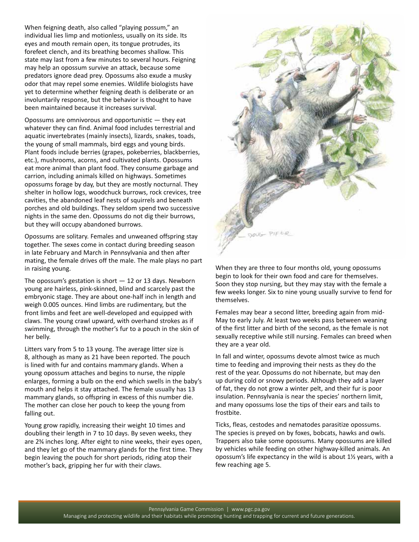When feigning death, also called "playing possum," an individual lies limp and motionless, usually on its side. Its eyes and mouth remain open, its tongue protrudes, its forefeet clench, and its breathing becomes shallow. This state may last from a few minutes to several hours. Feigning may help an opossum survive an attack, because some predators ignore dead prey. Opossums also exude a musky odor that may repel some enemies. Wildlife biologists have yet to determine whether feigning death is deliberate or an involuntarily response, but the behavior is thought to have been maintained because it increases survival.

Opossums are omnivorous and opportunistic — they eat whatever they can find. Animal food includes terrestrial and aquatic invertebrates (mainly insects), lizards, snakes, toads, the young of small mammals, bird eggs and young birds. Plant foods include berries (grapes, pokeberries, blackberries, etc.), mushrooms, acorns, and cultivated plants. Opossums eat more animal than plant food. They consume garbage and carrion, including animals killed on highways. Sometimes opossums forage by day, but they are mostly nocturnal. They shelter in hollow logs, woodchuck burrows, rock crevices, tree cavities, the abandoned leaf nests of squirrels and beneath porches and old buildings. They seldom spend two successive nights in the same den. Opossums do not dig their burrows, but they will occupy abandoned burrows.

Opossums are solitary. Females and unweaned offspring stay together. The sexes come in contact during breeding season in late February and March in Pennsylvania and then after mating, the female drives off the male. The male plays no part in raising young.

The opossum's gestation is short  $-12$  or 13 days. Newborn young are hairless, pink-skinned, blind and scarcely past the embryonic stage. They are about one-half inch in length and weigh 0.005 ounces. Hind limbs are rudimentary, but the front limbs and feet are well-developed and equipped with claws. The young crawl upward, with overhand strokes as if swimming, through the mother's fur to a pouch in the skin of her belly.

Litters vary from 5 to 13 young. The average litter size is 8, although as many as 21 have been reported. The pouch is lined with fur and contains mammary glands. When a young opossum attaches and begins to nurse, the nipple enlarges, forming a bulb on the end which swells in the baby's mouth and helps it stay attached. The female usually has 13 mammary glands, so offspring in excess of this number die. The mother can close her pouch to keep the young from falling out.

Young grow rapidly, increasing their weight 10 times and doubling their length in 7 to 10 days. By seven weeks, they are 23/4 inches long. After eight to nine weeks, their eyes open, and they let go of the mammary glands for the first time. They begin leaving the pouch for short periods, riding atop their mother's back, gripping her fur with their claws.



When they are three to four months old, young opossums begin to look for their own food and care for themselves. Soon they stop nursing, but they may stay with the female a few weeks longer. Six to nine young usually survive to fend for themselves.

Females may bear a second litter, breeding again from mid-May to early July. At least two weeks pass between weaning of the first litter and birth of the second, as the female is not sexually receptive while still nursing. Females can breed when they are a year old.

In fall and winter, opossums devote almost twice as much time to feeding and improving their nests as they do the rest of the year. Opossums do not hibernate, but may den up during cold or snowy periods. Although they add a layer of fat, they do not grow a winter pelt, and their fur is poor insulation. Pennsylvania is near the species' northern limit, and many opossums lose the tips of their ears and tails to frostbite.

Ticks, fleas, cestodes and nematodes parasitize opossums. The species is preyed on by foxes, bobcats, hawks and owls. Trappers also take some opossums. Many opossums are killed by vehicles while feeding on other highway-killed animals. An opossum's life expectancy in the wild is about  $1\frac{1}{2}$  years, with a few reaching age 5.